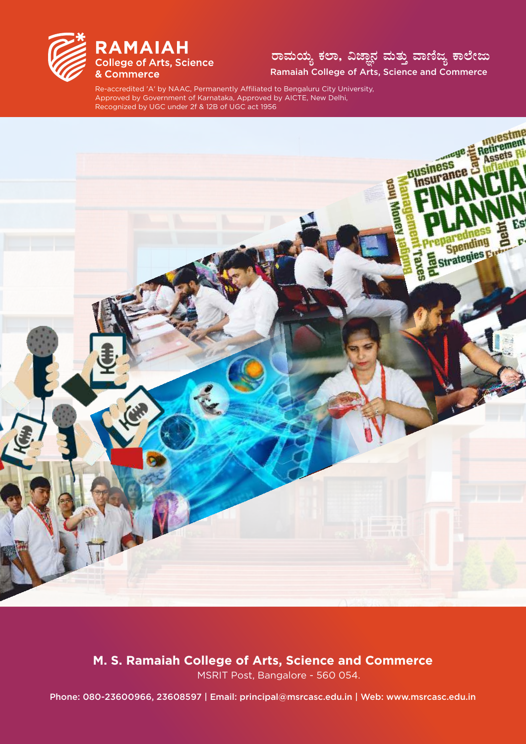

## ರಾಮಯ್ಯ ಕಲಾ, ವಿಜ್ಞಾನ ಮತ್ತು ವಾಣಿಜ್ಯ ಕಾಲೇಜು Ramaiah College of Arts, Science and Commerce

Re-accredited 'A' by NAAC, Permanently Affiliated to Bengaluru City University, Approved by Government of Karnataka, Approved by AICTE, New Delhi, Recognized by UGC under 2f & 12B of UGC act 1956



M. S. Ramaiah College of Arts, Science and Commerce

MSRIT Post, Bangalore - 560 054.

Phone: 080-23600966, 23608597 | Email: principal@msrcasc.edu.in | Web: www.msrcasc.edu.in